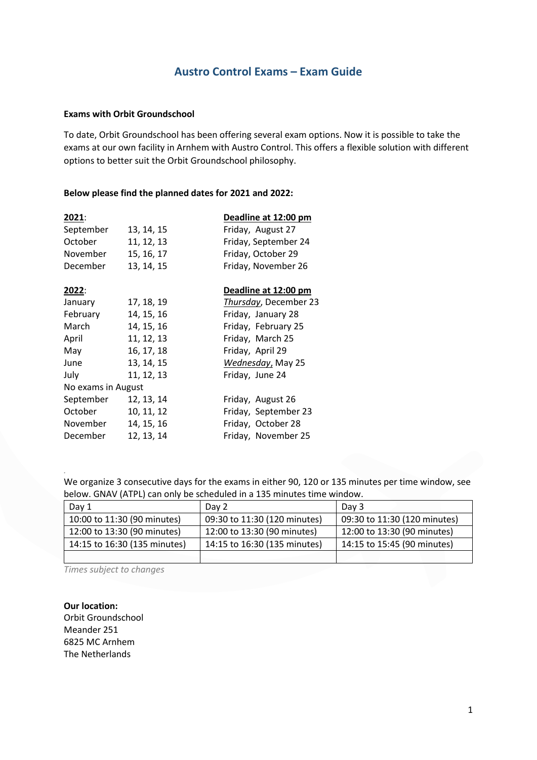# **Austro Control Exams – Exam Guide**

### **Exams with Orbit Groundschool**

To date, Orbit Groundschool has been offering several exam options. Now it is possible to take the exams at our own facility in Arnhem with Austro Control. This offers a flexible solution with different options to better suit the Orbit Groundschool philosophy.

### **Below please find the planned dates for 2021 and 2022:**

| 2021:              |            | Deadline at 12:00 pm  |
|--------------------|------------|-----------------------|
| September          | 13, 14, 15 | Friday, August 27     |
| October            | 11, 12, 13 | Friday, September 24  |
| November           | 15, 16, 17 | Friday, October 29    |
| December           | 13, 14, 15 | Friday, November 26   |
| <u> 2022:</u>      |            | Deadline at 12:00 pm  |
| January            | 17, 18, 19 | Thursday, December 23 |
| February           | 14, 15, 16 | Friday, January 28    |
| March              | 14, 15, 16 | Friday, February 25   |
| April              | 11, 12, 13 | Friday, March 25      |
| May                | 16, 17, 18 | Friday, April 29      |
| June               | 13, 14, 15 | Wednesday, May 25     |
| July               | 11, 12, 13 | Friday, June 24       |
| No exams in August |            |                       |
| September          | 12, 13, 14 | Friday, August 26     |
| October            | 10, 11, 12 | Friday, September 23  |
| November           | 14, 15, 16 | Friday, October 28    |
| December           | 12, 13, 14 | Friday, November 25   |

We organize 3 consecutive days for the exams in either 90, 120 or 135 minutes per time window, see below. GNAV (ATPL) can only be scheduled in a 135 minutes time window.

| Day 1                        | Day 2                        | Day 3                        |
|------------------------------|------------------------------|------------------------------|
| 10:00 to 11:30 (90 minutes)  | 09:30 to 11:30 (120 minutes) | 09:30 to 11:30 (120 minutes) |
| 12:00 to 13:30 (90 minutes)  | 12:00 to 13:30 (90 minutes)  | 12:00 to 13:30 (90 minutes)  |
| 14:15 to 16:30 (135 minutes) | 14:15 to 16:30 (135 minutes) | 14:15 to 15:45 (90 minutes)  |
|                              |                              |                              |

*Times subject to changes*

*.*

**Our location:** Orbit Groundschool Meander 251 6825 MC Arnhem The Netherlands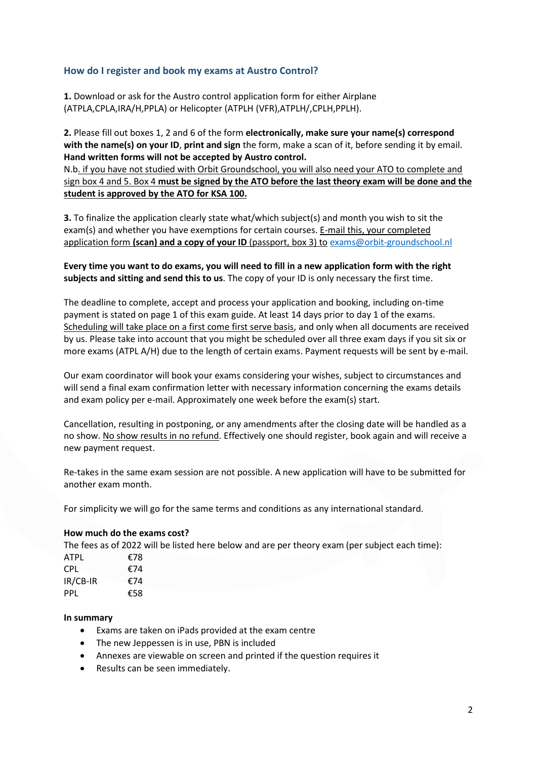# **How do I register and book my exams at Austro Control?**

**1.** Download or ask for the Austro control application form for either Airplane (ATPLA,CPLA,IRA/H,PPLA) or Helicopter (ATPLH (VFR),ATPLH/,CPLH,PPLH).

**2.** Please fill out boxes 1, 2 and 6 of the form **electronically, make sure your name(s) correspond with the name(s) on your ID**, **print and sign** the form, make a scan of it, before sending it by email. **Hand written forms will not be accepted by Austro control.**

N.b. if you have not studied with Orbit Groundschool, you will also need your ATO to complete and sign box 4 and 5. Box 4 **must be signed by the ATO before the last theory exam will be done and the student is approved by the ATO for KSA 100.**

**3.** To finalize the application clearly state what/which subject(s) and month you wish to sit the exam(s) and whether you have exemptions for certain courses. E-mail this, your completed application form **(scan) and a copy of your ID** (passport, box 3) to [exams@orbit-groundschool.nl](mailto:exams@orbit-groundschool.nl)

**Every time you want to do exams, you will need to fill in a new application form with the right subjects and sitting and send this to us**. The copy of your ID is only necessary the first time.

The deadline to complete, accept and process your application and booking, including on-time payment is stated on page 1 of this exam guide. At least 14 days prior to day 1 of the exams. Scheduling will take place on a first come first serve basis, and only when all documents are received by us. Please take into account that you might be scheduled over all three exam days if you sit six or more exams (ATPL A/H) due to the length of certain exams. Payment requests will be sent by e-mail.

Our exam coordinator will book your exams considering your wishes, subject to circumstances and will send a final exam confirmation letter with necessary information concerning the exams details and exam policy per e-mail. Approximately one week before the exam(s) start.

Cancellation, resulting in postponing, or any amendments after the closing date will be handled as a no show. No show results in no refund. Effectively one should register, book again and will receive a new payment request.

Re-takes in the same exam session are not possible. A new application will have to be submitted for another exam month.

For simplicity we will go for the same terms and conditions as any international standard.

## **How much do the exams cost?**

The fees as of 2022 will be listed here below and are per theory exam (per subject each time):

| ATPL     | €78 |
|----------|-----|
| CPL.     | €74 |
| IR/CB-IR | €74 |
| PPL      | €58 |

## **In summary**

- · Exams are taken on iPads provided at the exam centre
- The new Jeppessen is in use, PBN is included
- · Annexes are viewable on screen and printed if the question requires it
- · Results can be seen immediately.